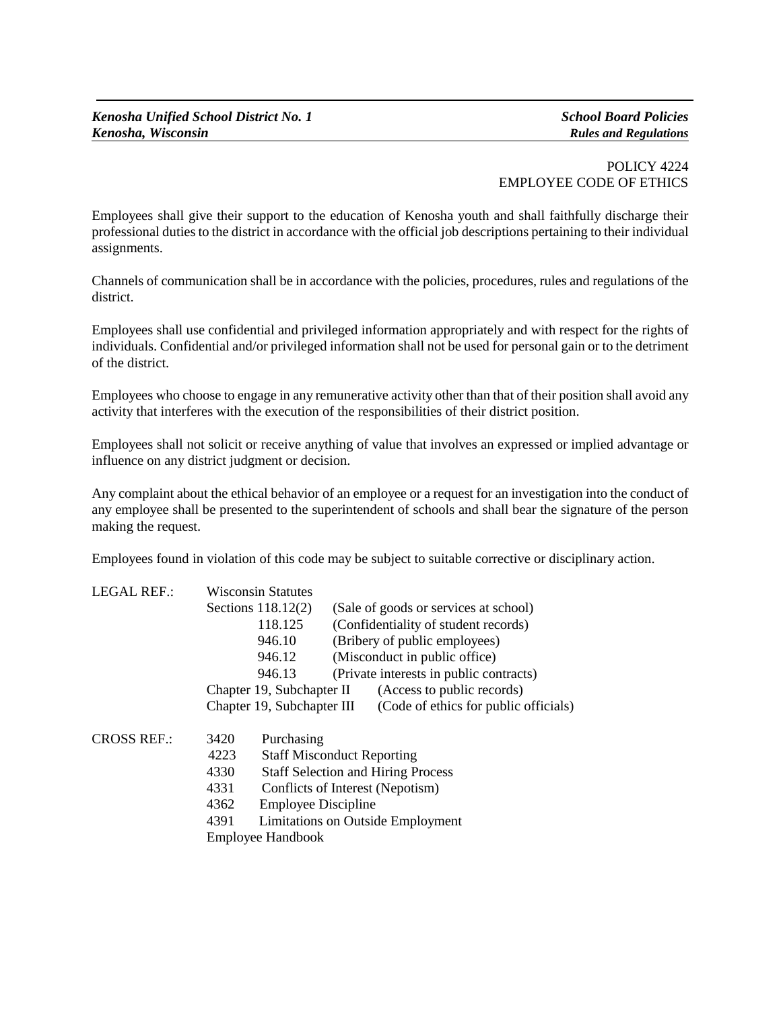## POLICY 4224 EMPLOYEE CODE OF ETHICS

Employees shall give their support to the education of Kenosha youth and shall faithfully discharge their professional duties to the district in accordance with the official job descriptions pertaining to their individual assignments.

Channels of communication shall be in accordance with the policies, procedures, rules and regulations of the district.

Employees shall use confidential and privileged information appropriately and with respect for the rights of individuals. Confidential and/or privileged information shall not be used for personal gain or to the detriment of the district.

Employees who choose to engage in any remunerative activity other than that of their position shall avoid any activity that interferes with the execution of the responsibilities of their district position.

Employees shall not solicit or receive anything of value that involves an expressed or implied advantage or influence on any district judgment or decision.

Any complaint about the ethical behavior of an employee or a request for an investigation into the conduct of any employee shall be presented to the superintendent of schools and shall bear the signature of the person making the request.

Employees found in violation of this code may be subject to suitable corrective or disciplinary action.

| <b>LEGAL REF.:</b> |                          | <b>Wisconsin Statutes</b>                                                                     |                                       |                                         |  |
|--------------------|--------------------------|-----------------------------------------------------------------------------------------------|---------------------------------------|-----------------------------------------|--|
|                    |                          | Sections $118.12(2)$                                                                          | (Sale of goods or services at school) |                                         |  |
|                    |                          | 118.125<br>946.10<br>(Bribery of public employees)<br>(Misconduct in public office)<br>946.12 |                                       | (Confidentiality of student records)    |  |
|                    |                          |                                                                                               |                                       |                                         |  |
|                    |                          |                                                                                               |                                       |                                         |  |
|                    |                          | 946.13                                                                                        |                                       | (Private interests in public contracts) |  |
|                    |                          | Chapter 19, Subchapter II                                                                     |                                       | (Access to public records)              |  |
|                    |                          | Chapter 19, Subchapter III                                                                    |                                       | (Code of ethics for public officials)   |  |
| <b>CROSS REF.:</b> | 3420                     | Purchasing                                                                                    |                                       |                                         |  |
|                    | 4223                     | <b>Staff Misconduct Reporting</b>                                                             |                                       |                                         |  |
|                    | 4330                     | <b>Staff Selection and Hiring Process</b>                                                     |                                       |                                         |  |
|                    | 4331                     | Conflicts of Interest (Nepotism)                                                              |                                       |                                         |  |
|                    | 4362                     | <b>Employee Discipline</b>                                                                    |                                       |                                         |  |
|                    | 4391                     | Limitations on Outside Employment                                                             |                                       |                                         |  |
|                    | <b>Employee Handbook</b> |                                                                                               |                                       |                                         |  |